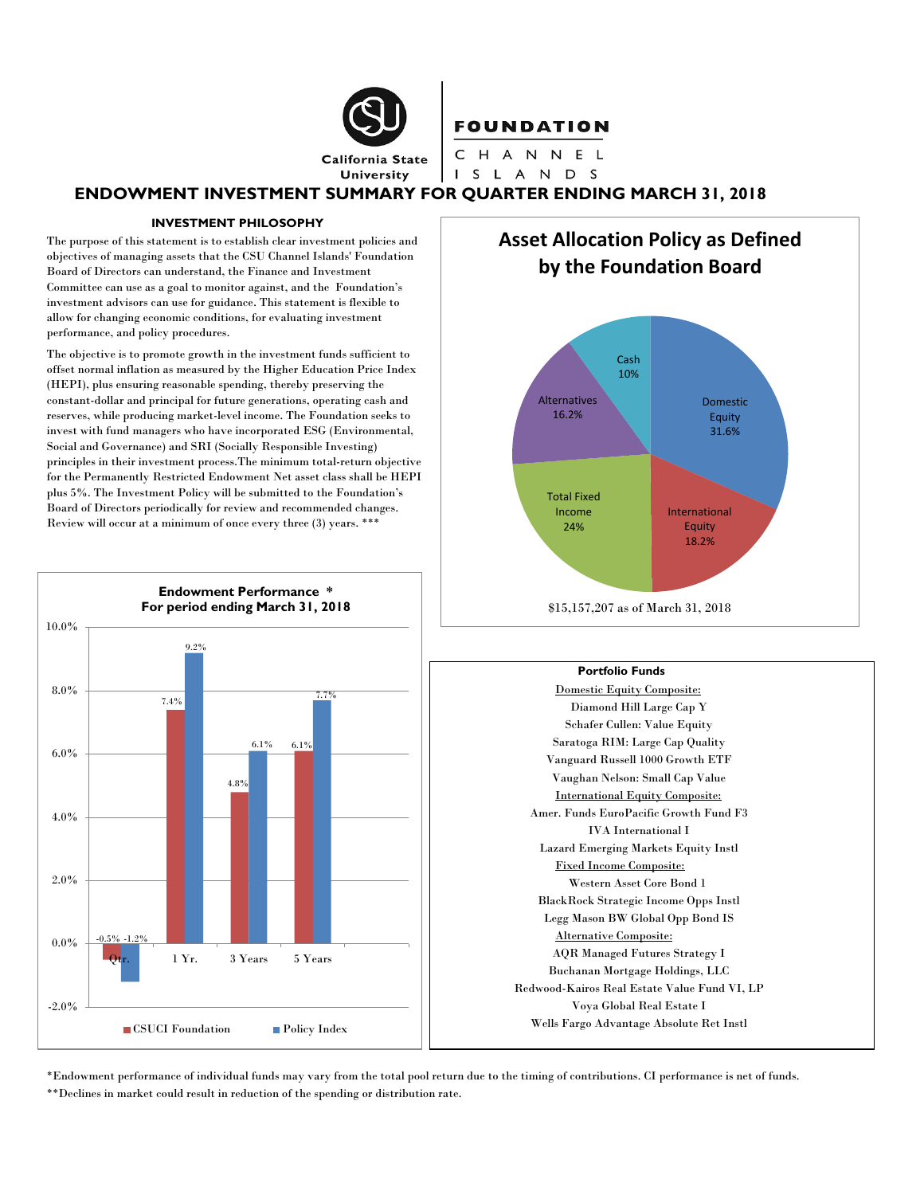

# **FOUNDATION** CHANNEL

I S L A N D S

### **ENDOWMENT INVESTMENT SUMMARY FOR QUARTER ENDING MARCH 31, 2018**

#### **INVESTMENT PHILOSOPHY**

The purpose of this statement is to establish clear investment policies and objectives of managing assets that the CSU Channel Islands' Foundation Board of Directors can understand, the Finance and Investment Committee can use as a goal to monitor against, and the Foundation's investment advisors can use for guidance. This statement is flexible to allow for changing economic conditions, for evaluating investment performance, and policy procedures.

The objective is to promote growth in the investment funds sufficient to offset normal inflation as measured by the Higher Education Price Index (HEPI), plus ensuring reasonable spending, thereby preserving the constant-dollar and principal for future generations, operating cash and reserves, while producing market-level income. The Foundation seeks to invest with fund managers who have incorporated ESG (Environmental, Social and Governance) and SRI (Socially Responsible Investing) principles in their investment process.The minimum total-return objective for the Permanently Restricted Endowment Net asset class shall be HEPI plus 5%. The Investment Policy will be submitted to the Foundation's Board of Directors periodically for review and recommended changes. Review will occur at a minimum of once every three (3) years. \*\*\*



# **Asset Allocation Policy as Defined by the Foundation Board**



#### **Portfolio Funds**

Domestic Equity Composite: Diamond Hill Large Cap Y Schafer Cullen: Value Equity Saratoga RIM: Large Cap Quality Vanguard Russell 1000 Growth ETF Vaughan Nelson: Small Cap Value International Equity Composite: Amer. Funds EuroPacific Growth Fund F3 IVA International I Lazard Emerging Markets Equity Instl Fixed Income Composite: Western Asset Core Bond 1 BlackRock Strategic Income Opps Instl Legg Mason BW Global Opp Bond IS Alternative Composite: AQR Managed Futures Strategy I Buchanan Mortgage Holdings, LLC Redwood-Kairos Real Estate Value Fund VI, LP Voya Global Real Estate I Wells Fargo Advantage Absolute Ret Instl

\*Endowment performance of individual funds may vary from the total pool return due to the timing of contributions. CI performance is net of funds. \*\*Declines in market could result in reduction of the spending or distribution rate.